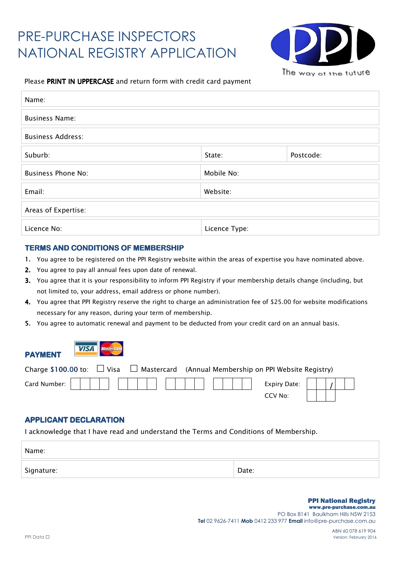# PRE-PURCHASE INSPECTORS NATIONAL REGISTRY APPLICATION



#### *Please PRINT IN UPPERCASE and return form with credit card payment*

| Name:                     |                     |  |  |
|---------------------------|---------------------|--|--|
| <b>Business Name:</b>     |                     |  |  |
| <b>Business Address:</b>  |                     |  |  |
| Suburb:                   | Postcode:<br>State: |  |  |
| <b>Business Phone No:</b> | Mobile No:          |  |  |
| Email:                    | Website:            |  |  |
| Areas of Expertise:       |                     |  |  |
| Licence No:               | Licence Type:       |  |  |

#### **TERMS AND CONDITIONS OF MEMBERSHIP**

- *1. You agree to be registered on the PPI Registry website within the areas of expertise you have nominated above.*
- *2. You agree to pay all annual fees upon date of renewal.*
- *3. You agree that it is your responsibility to inform PPI Registry if your membership details change (including, but not limited to, your address, email address or phone number).*
- *4. You agree that PPI Registry reserve the right to charge an administration fee of \$25.00 for website modifications necessary for any reason, during your term of membership.*
- *5. You agree to automatic renewal and payment to be deducted from your credit card on an annual basis.*





| Charge \$100.00 to: $\Box$ Visa $\Box$ Mastercard (Annual Membership on PPI Website Registry) |  |         |  |  |  |
|-----------------------------------------------------------------------------------------------|--|---------|--|--|--|
|                                                                                               |  |         |  |  |  |
|                                                                                               |  | CCV No: |  |  |  |

#### **APPLICANT DECLARATION**

*I acknowledge that I have read and understand the Terms and Conditions of Membership.* 

| Name:      |       |
|------------|-------|
| Signature: | Date: |